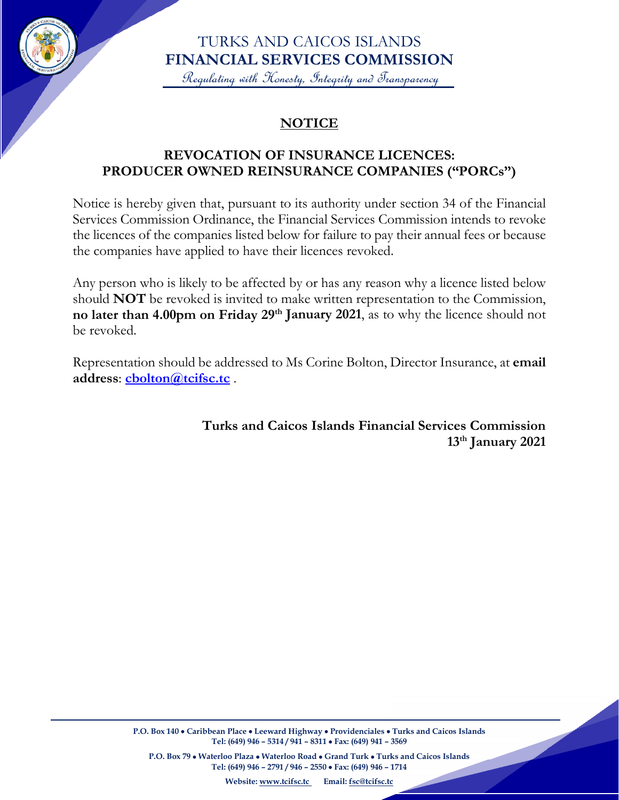

TURKS AND CAICOS ISLANDS **FINANCIAL SERVICES COMMISSION**

Regulating with Honesty, Integrity and Transparency

# **NOTICE**

## **REVOCATION OF INSURANCE LICENCES: PRODUCER OWNED REINSURANCE COMPANIES ("PORCs")**

Notice is hereby given that, pursuant to its authority under section 34 of the Financial Services Commission Ordinance, the Financial Services Commission intends to revoke the licences of the companies listed below for failure to pay their annual fees or because the companies have applied to have their licences revoked.

Any person who is likely to be affected by or has any reason why a licence listed below should **NOT** be revoked is invited to make written representation to the Commission, **no later than 4.00pm on Friday 29<sup>th</sup> January 2021**, as to why the licence should not be revoked.

Representation should be addressed to Ms Corine Bolton, Director Insurance, at **email address**: **[cbolton@tcifsc.tc](mailto:cbolton@tcifsc.tc)** .

> **Turks and Caicos Islands Financial Services Commission 13th January 2021**

**P.O. Box 79** • **Waterloo Plaza** • **Waterloo Road** • **Grand Turk** • **Turks and Caicos Islands Tel: (649) 946 – 2791 / 946 – 2550** • **Fax: (649) 946 – 1714**

**Website: [www.tcifsc.tc](http://www.tcifsc.tc/) Email[: fsc@tcifsc.tc](mailto:fsc@tcifsc.tc)**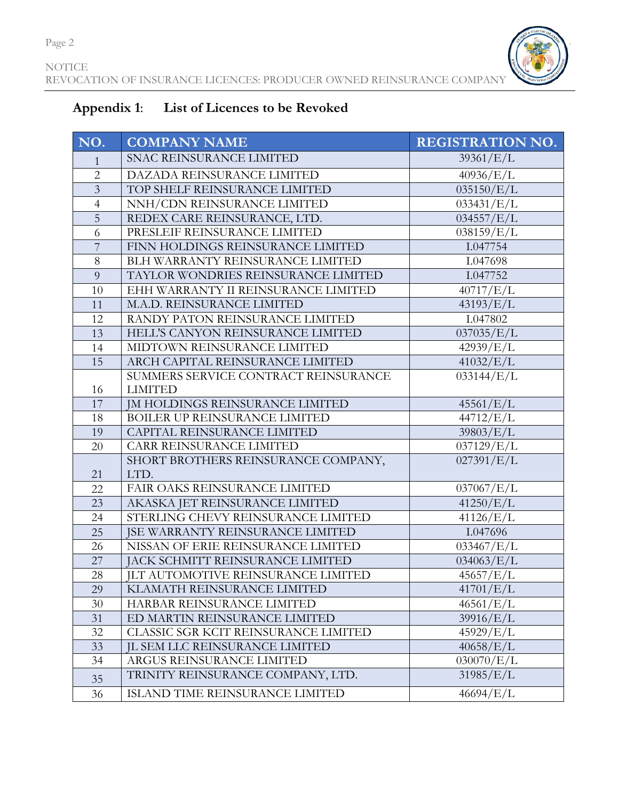

# **Appendix 1**: **List of Licences to be Revoked**

| NO.                     | <b>COMPANY NAME</b>                    | <b>REGISTRATION NO.</b> |
|-------------------------|----------------------------------------|-------------------------|
| $\mathbf{1}$            | <b>SNAC REINSURANCE LIMITED</b>        | 39361/E/L               |
| $\overline{2}$          | DAZADA REINSURANCE LIMITED             | 40936/E/L               |
| $\overline{\mathbf{3}}$ | TOP SHELF REINSURANCE LIMITED          | 035150/E/L              |
| $\overline{4}$          | NNH/CDN REINSURANCE LIMITED            | 033431/E/L              |
| $\overline{5}$          | REDEX CARE REINSURANCE, LTD.           | 034557/E/L              |
| 6                       | PRESLEIF REINSURANCE LIMITED           | 038159/E/L              |
| $\overline{7}$          | FINN HOLDINGS REINSURANCE LIMITED      | I.047754                |
| $8\,$                   | BLH WARRANTY REINSURANCE LIMITED       | I.047698                |
| 9                       | TAYLOR WONDRIES REINSURANCE LIMITED    | I.047752                |
| 10                      | EHH WARRANTY II REINSURANCE LIMITED    | 40717/E/L               |
| 11                      | M.A.D. REINSURANCE LIMITED             | 43193/E/L               |
| 12                      | RANDY PATON REINSURANCE LIMITED        | I.047802                |
| 13                      | HELL'S CANYON REINSURANCE LIMITED      | 037035/E/L              |
| 14                      | MIDTOWN REINSURANCE LIMITED            | 42939/E/L               |
| 15                      | ARCH CAPITAL REINSURANCE LIMITED       | 41032/E/L               |
|                         | SUMMERS SERVICE CONTRACT REINSURANCE   | 033144/E/L              |
| 16                      | <b>LIMITED</b>                         |                         |
| 17                      | <b>JM HOLDINGS REINSURANCE LIMITED</b> | 45561/E/L               |
| 18                      | BOILER UP REINSURANCE LIMITED          | 44712/E/L               |
| 19                      | CAPITAL REINSURANCE LIMITED            | 39803/E/L               |
| 20                      | CARR REINSURANCE LIMITED               | 037129/E/L              |
|                         | SHORT BROTHERS REINSURANCE COMPANY,    | 027391/E/L              |
| 21                      | LTD.                                   |                         |
| 22                      | FAIR OAKS REINSURANCE LIMITED          | 037067/E/L              |
| 23                      | AKASKA JET REINSURANCE LIMITED         | 41250/E/L               |
| 24                      | STERLING CHEVY REINSURANCE LIMITED     | 41126/E/L               |
| 25                      | JSE WARRANTY REINSURANCE LIMITED       | I.047696                |
| 26                      | NISSAN OF ERIE REINSURANCE LIMITED     | 033467/E/L              |
| 27                      | JACK SCHMITT REINSURANCE LIMITED       | 034063/E/L              |
| 28                      | JLT AUTOMOTIVE REINSURANCE LIMITED     | 45657/E/L               |
| 29                      | KLAMATH REINSURANCE LIMITED            | 41701/E/L               |
| 30                      | HARBAR REINSURANCE LIMITED             | 46561/E/L               |
| 31                      | ED MARTIN REINSURANCE LIMITED          | 39916/E/L               |
| 32                      | CLASSIC SGR KCIT REINSURANCE LIMITED   | 45929/E/L               |
| 33                      | JL SEM LLC REINSURANCE LIMITED         | 40658/E/L               |
| 34                      | ARGUS REINSURANCE LIMITED              | 030070/E/L              |
| 35                      | TRINITY REINSURANCE COMPANY, LTD.      | 31985/E/L               |
| 36                      | ISLAND TIME REINSURANCE LIMITED        | 46694/E/L               |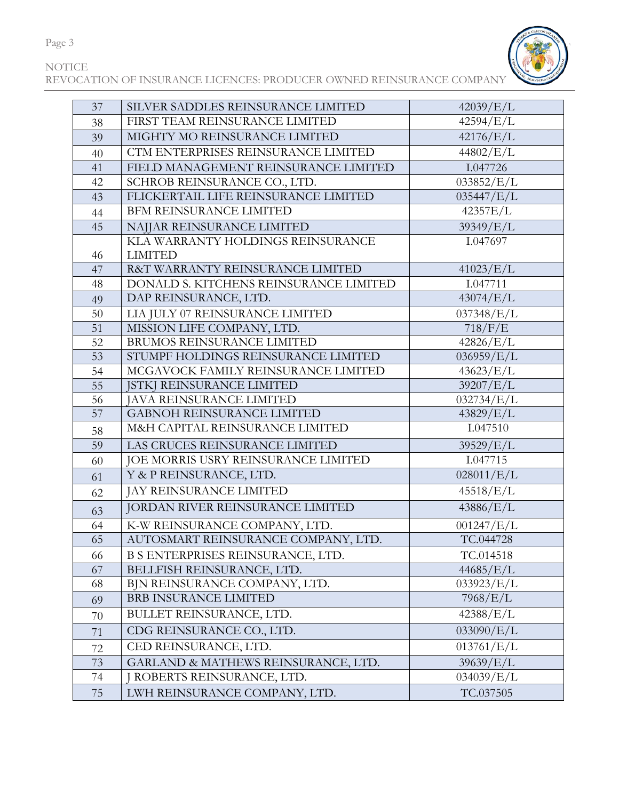

| 37 | SILVER SADDLES REINSURANCE LIMITED       | 42039/E/L  |
|----|------------------------------------------|------------|
| 38 | FIRST TEAM REINSURANCE LIMITED           | 42594/E/L  |
| 39 | MIGHTY MO REINSURANCE LIMITED            | 42176/E/L  |
| 40 | CTM ENTERPRISES REINSURANCE LIMITED      | 44802/E/L  |
| 41 | FIELD MANAGEMENT REINSURANCE LIMITED     | I.047726   |
| 42 | SCHROB REINSURANCE CO., LTD.             | 033852/E/L |
| 43 | FLICKERTAIL LIFE REINSURANCE LIMITED     | 035447/E/L |
| 44 | <b>BFM REINSURANCE LIMITED</b>           | 42357E/L   |
| 45 | NAJJAR REINSURANCE LIMITED               | 39349/E/L  |
|    | KLA WARRANTY HOLDINGS REINSURANCE        | I.047697   |
| 46 | <b>LIMITED</b>                           |            |
| 47 | R&T WARRANTY REINSURANCE LIMITED         | 41023/E/L  |
| 48 | DONALD S. KITCHENS REINSURANCE LIMITED   | I.047711   |
| 49 | DAP REINSURANCE, LTD.                    | 43074/E/L  |
| 50 | LIA JULY 07 REINSURANCE LIMITED          | 037348/E/L |
| 51 | MISSION LIFE COMPANY, LTD.               | 718/F/E    |
| 52 | BRUMOS REINSURANCE LIMITED               | 42826/E/L  |
| 53 | STUMPF HOLDINGS REINSURANCE LIMITED      | 036959/E/L |
| 54 | MCGAVOCK FAMILY REINSURANCE LIMITED      | 43623/E/L  |
| 55 | <b>JSTKJ REINSURANCE LIMITED</b>         | 39207/E/L  |
| 56 | <b>JAVA REINSURANCE LIMITED</b>          | 032734/E/L |
| 57 | <b>GABNOH REINSURANCE LIMITED</b>        | 43829/E/L  |
| 58 | M&H CAPITAL REINSURANCE LIMITED          | I.047510   |
| 59 | LAS CRUCES REINSURANCE LIMITED           | 39529/E/L  |
| 60 | JOE MORRIS USRY REINSURANCE LIMITED      | I.047715   |
| 61 | Y & P REINSURANCE, LTD.                  | 028011/E/L |
| 62 | JAY REINSURANCE LIMITED                  | 45518/E/L  |
| 63 | JORDAN RIVER REINSURANCE LIMITED         | 43886/E/L  |
| 64 | K-W REINSURANCE COMPANY, LTD.            | 001247/E/L |
| 65 | AUTOSMART REINSURANCE COMPANY, LTD.      | TC.044728  |
| 66 | <b>B S ENTERPRISES REINSURANCE, LTD.</b> | TC.014518  |
| 67 | BELLFISH REINSURANCE, LTD.               | 44685/E/L  |
| 68 | BJN REINSURANCE COMPANY, LTD.            | 033923/E/L |
| 69 | <b>BRB INSURANCE LIMITED</b>             | 7968/E/L   |
| 70 | BULLET REINSURANCE, LTD.                 | 42388/E/L  |
| 71 | CDG REINSURANCE CO., LTD.                | 033090/E/L |
| 72 | CED REINSURANCE, LTD.                    | 013761/E/L |
| 73 | GARLAND & MATHEWS REINSURANCE, LTD.      | 39639/E/L  |
| 74 | ROBERTS REINSURANCE, LTD.                | 034039/E/L |
| 75 | LWH REINSURANCE COMPANY, LTD.            | TC.037505  |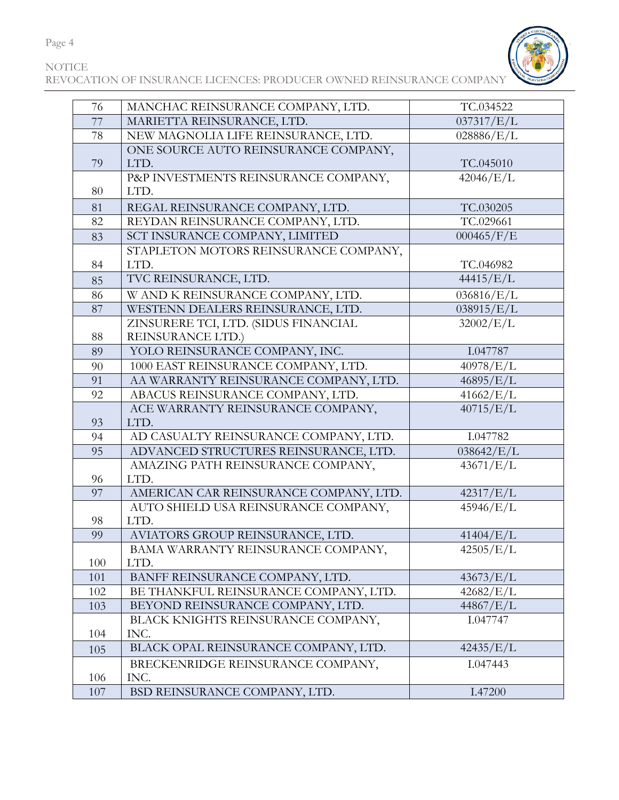Page 4



| 76  | MANCHAC REINSURANCE COMPANY, LTD.            | TC.034522              |
|-----|----------------------------------------------|------------------------|
| 77  | MARIETTA REINSURANCE, LTD.                   | 037317/E/L             |
| 78  | NEW MAGNOLIA LIFE REINSURANCE, LTD.          | 028886/E/L             |
|     | ONE SOURCE AUTO REINSURANCE COMPANY,         |                        |
| 79  | LTD.                                         | TC.045010              |
|     | P&P INVESTMENTS REINSURANCE COMPANY,         | 42046/E/L              |
| 80  | LTD.                                         |                        |
| 81  | REGAL REINSURANCE COMPANY, LTD.              | TC.030205              |
| 82  | REYDAN REINSURANCE COMPANY, LTD.             | TC.029661              |
| 83  | SCT INSURANCE COMPANY, LIMITED               | 000465/F/E             |
|     | STAPLETON MOTORS REINSURANCE COMPANY,        |                        |
| 84  | LTD.                                         | TC.046982              |
| 85  | TVC REINSURANCE, LTD.                        | 44415/E/L              |
| 86  | W AND K REINSURANCE COMPANY, LTD.            | 036816/E/L             |
| 87  | WESTENN DEALERS REINSURANCE, LTD.            | 038915/E/L             |
|     | ZINSURERE TCI, LTD. (SIDUS FINANCIAL         | 32002/E/L              |
| 88  | REINSURANCE LTD.)                            |                        |
| 89  | YOLO REINSURANCE COMPANY, INC.               | I.047787               |
| 90  | 1000 EAST REINSURANCE COMPANY, LTD.          | 40978/E/L              |
| 91  | AA WARRANTY REINSURANCE COMPANY, LTD.        | 46895/E/L              |
| 92  | ABACUS REINSURANCE COMPANY, LTD.             | 41662/E/L              |
|     | ACE WARRANTY REINSURANCE COMPANY,            | 40715/E/L              |
| 93  | LTD.                                         |                        |
| 94  | AD CASUALTY REINSURANCE COMPANY, LTD.        | I.047782               |
| 95  | ADVANCED STRUCTURES REINSURANCE, LTD.        | 038642/E/L             |
|     | AMAZING PATH REINSURANCE COMPANY,            | $43671/E/\overline{L}$ |
| 96  | LTD.                                         |                        |
| 97  | AMERICAN CAR REINSURANCE COMPANY, LTD.       | 42317/E/L              |
| 98  | AUTO SHIELD USA REINSURANCE COMPANY,<br>LTD. | 45946/E/L              |
| 99  | AVIATORS GROUP REINSURANCE, LTD.             | 41404/E/L              |
|     | BAMA WARRANTY REINSURANCE COMPANY,           | 42505/E/L              |
| 100 | LTD.                                         |                        |
| 101 | BANFF REINSURANCE COMPANY, LTD.              | 43673/E/L              |
| 102 | BE THANKFUL REINSURANCE COMPANY, LTD.        | 42682/E/L              |
| 103 | BEYOND REINSURANCE COMPANY, LTD.             | 44867/E/L              |
|     | BLACK KNIGHTS REINSURANCE COMPANY,           | I.047747               |
| 104 | INC.                                         |                        |
| 105 | BLACK OPAL REINSURANCE COMPANY, LTD.         | 42435/E/L              |
|     | BRECKENRIDGE REINSURANCE COMPANY,            | I.047443               |
| 106 | INC.                                         |                        |
| 107 | BSD REINSURANCE COMPANY, LTD.                | I.47200                |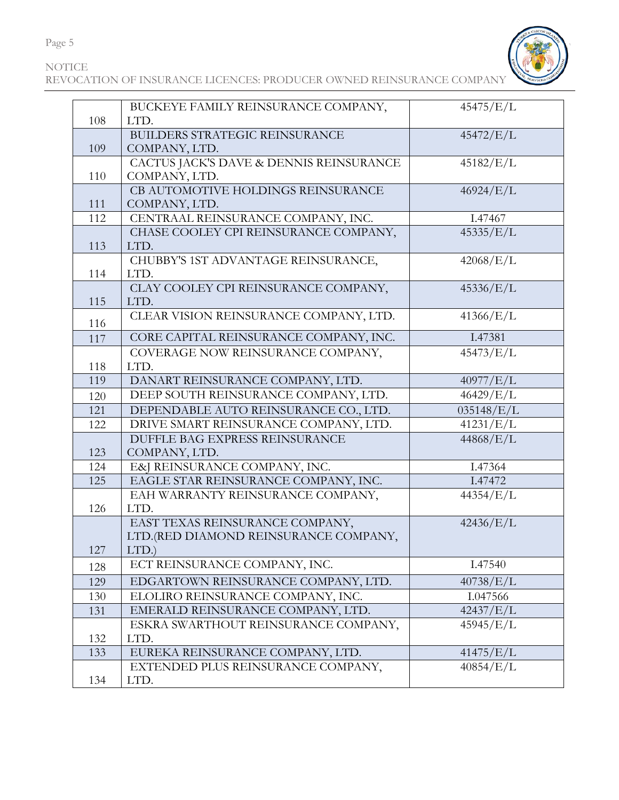

#### NOTICE REVOCATION OF INSURANCE LICENCES: PRODUCER OWNED REINSURANCE COMPANY



| 108 | BUCKEYE FAMILY REINSURANCE COMPANY,<br>LTD. | 45475/E/L  |
|-----|---------------------------------------------|------------|
|     | BUILDERS STRATEGIC REINSURANCE              |            |
|     |                                             | 45472/E/L  |
| 109 | COMPANY, LTD.                               |            |
|     | CACTUS JACK'S DAVE & DENNIS REINSURANCE     | 45182/E/L  |
| 110 | COMPANY, LTD.                               |            |
|     | CB AUTOMOTIVE HOLDINGS REINSURANCE          | 46924/E/L  |
| 111 | COMPANY, LTD.                               |            |
| 112 | CENTRAAL REINSURANCE COMPANY, INC.          | I.47467    |
|     | CHASE COOLEY CPI REINSURANCE COMPANY,       | 45335/E/L  |
| 113 | LTD.                                        |            |
|     | CHUBBY'S 1ST ADVANTAGE REINSURANCE,         | 42068/E/L  |
| 114 | LTD.                                        |            |
|     | CLAY COOLEY CPI REINSURANCE COMPANY,        | 45336/E/L  |
| 115 | LTD.                                        |            |
| 116 | CLEAR VISION REINSURANCE COMPANY, LTD.      | 41366/E/L  |
| 117 | CORE CAPITAL REINSURANCE COMPANY, INC.      | I.47381    |
|     | COVERAGE NOW REINSURANCE COMPANY,           | 45473/E/L  |
| 118 | LTD.                                        |            |
| 119 | DANART REINSURANCE COMPANY, LTD.            | 40977/E/L  |
| 120 | DEEP SOUTH REINSURANCE COMPANY, LTD.        | 46429/E/L  |
| 121 | DEPENDABLE AUTO REINSURANCE CO., LTD.       | 035148/E/L |
| 122 | DRIVE SMART REINSURANCE COMPANY, LTD.       | 41231/E/L  |
|     | DUFFLE BAG EXPRESS REINSURANCE              | 44868/E/L  |
| 123 | COMPANY, LTD.                               |            |
| 124 | E&J REINSURANCE COMPANY, INC.               | I.47364    |
| 125 | EAGLE STAR REINSURANCE COMPANY, INC.        | I.47472    |
|     | EAH WARRANTY REINSURANCE COMPANY,           | 44354/E/L  |
| 126 | LTD.                                        |            |
|     | EAST TEXAS REINSURANCE COMPANY,             | 42436/E/L  |
|     | LTD.(RED DIAMOND REINSURANCE COMPANY,       |            |
| 127 | $LTD$ .)                                    |            |
| 128 | ECT REINSURANCE COMPANY, INC.               | I.47540    |
| 129 | EDGARTOWN REINSURANCE COMPANY, LTD.         | 40738/E/L  |
| 130 | ELOLIRO REINSURANCE COMPANY, INC.           | I.047566   |
| 131 | EMERALD REINSURANCE COMPANY, LTD.           | 42437/E/L  |
|     | ESKRA SWARTHOUT REINSURANCE COMPANY,        | 45945/E/L  |
| 132 | LTD.                                        |            |
| 133 | EUREKA REINSURANCE COMPANY, LTD.            | 41475/E/L  |
|     | EXTENDED PLUS REINSURANCE COMPANY,          | 40854/E/L  |
| 134 | LTD.                                        |            |

Page 5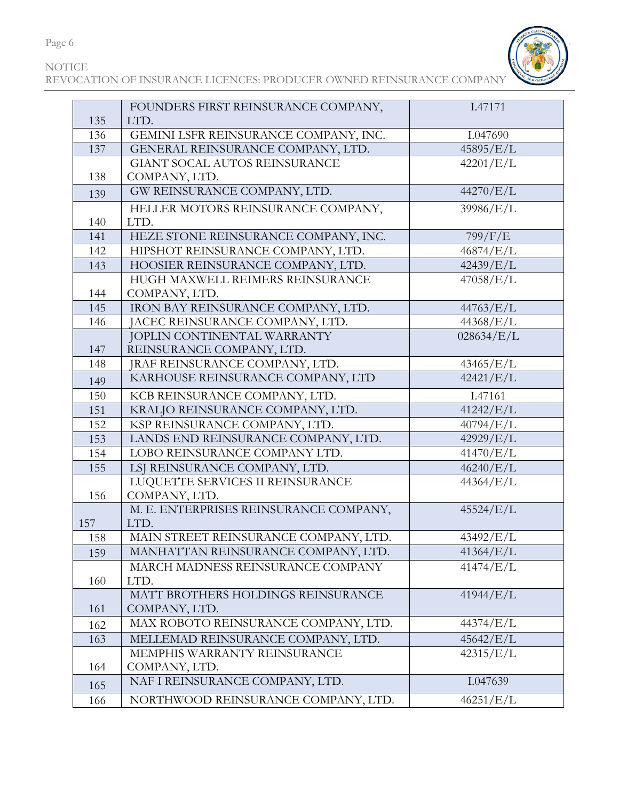

|     | FOUNDERS FIRST REINSURANCE COMPANY,    | I.47171    |
|-----|----------------------------------------|------------|
| 135 | LTD.                                   |            |
| 136 | GEMINI LSFR REINSURANCE COMPANY, INC.  | I.047690   |
| 137 | GENERAL REINSURANCE COMPANY, LTD.      | 45895/E/L  |
|     | GIANT SOCAL AUTOS REINSURANCE          | 42201/E/L  |
| 138 | COMPANY, LTD.                          |            |
| 139 | GW REINSURANCE COMPANY, LTD.           | 44270/E/L  |
|     | HELLER MOTORS REINSURANCE COMPANY,     | 39986/E/L  |
| 140 | LTD.                                   |            |
| 141 | HEZE STONE REINSURANCE COMPANY, INC.   | 799/F/E    |
| 142 | HIPSHOT REINSURANCE COMPANY, LTD.      | 46874/E/L  |
| 143 | HOOSIER REINSURANCE COMPANY, LTD.      | 42439/E/L  |
|     | HUGH MAXWELL REIMERS REINSURANCE       | 47058/E/L  |
| 144 | COMPANY, LTD.                          |            |
| 145 | IRON BAY REINSURANCE COMPANY, LTD.     | 44763/E/L  |
| 146 | JACEC REINSURANCE COMPANY, LTD.        | 44368/E/L  |
|     | JOPLIN CONTINENTAL WARRANTY            | 028634/E/L |
| 147 | REINSURANCE COMPANY, LTD.              |            |
| 148 | JRAF REINSURANCE COMPANY, LTD.         | 43465/E/L  |
| 149 | KARHOUSE REINSURANCE COMPANY, LTD      | 42421/E/L  |
| 150 | KCB REINSURANCE COMPANY, LTD.          | I.47161    |
| 151 | KRALJO REINSURANCE COMPANY, LTD.       | 41242/E/L  |
| 152 | KSP REINSURANCE COMPANY, LTD.          | 40794/E/L  |
| 153 | LANDS END REINSURANCE COMPANY, LTD.    | 42929/E/L  |
| 154 | LOBO REINSURANCE COMPANY LTD.          | 41470/E/L  |
| 155 | LSJ REINSURANCE COMPANY, LTD.          | 46240/E/L  |
|     | LUQUETTE SERVICES II REINSURANCE       | 44364/E/L  |
| 156 | COMPANY, LTD.                          |            |
|     | M. E. ENTERPRISES REINSURANCE COMPANY, | 45524/E/L  |
| 157 | LTD.                                   |            |
| 158 | MAIN STREET REINSURANCE COMPANY, LTD.  | 43492/E/L  |
| 159 | MANHATTAN REINSURANCE COMPANY, LTD.    | 41364/E/L  |
|     | MARCH MADNESS REINSURANCE COMPANY      | 41474/E/L  |
| 160 | LTD.                                   |            |
|     | MATT BROTHERS HOLDINGS REINSURANCE     | 41944/E/L  |
| 161 | COMPANY, LTD.                          |            |
| 162 | MAX ROBOTO REINSURANCE COMPANY, LTD.   | 44374/E/L  |
| 163 | MELLEMAD REINSURANCE COMPANY, LTD.     | 45642/E/L  |
|     | MEMPHIS WARRANTY REINSURANCE           | 42315/E/L  |
| 164 | COMPANY, LTD.                          |            |
| 165 | NAF I REINSURANCE COMPANY, LTD.        | I.047639   |
| 166 | NORTHWOOD REINSURANCE COMPANY, LTD.    | 46251/E/L  |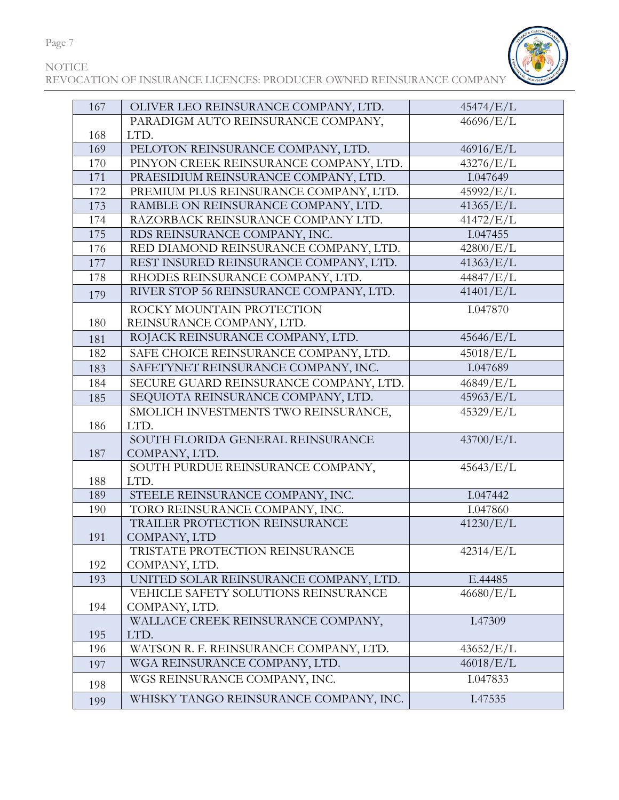Page 7



| 167 | OLIVER LEO REINSURANCE COMPANY, LTD.    | 45474/E/L |
|-----|-----------------------------------------|-----------|
|     | PARADIGM AUTO REINSURANCE COMPANY,      | 46696/E/L |
| 168 | LTD.                                    |           |
| 169 | PELOTON REINSURANCE COMPANY, LTD.       | 46916/E/L |
| 170 | PINYON CREEK REINSURANCE COMPANY, LTD.  | 43276/E/L |
| 171 | PRAESIDIUM REINSURANCE COMPANY, LTD.    | I.047649  |
| 172 | PREMIUM PLUS REINSURANCE COMPANY, LTD.  | 45992/E/L |
| 173 | RAMBLE ON REINSURANCE COMPANY, LTD.     | 41365/E/L |
| 174 | RAZORBACK REINSURANCE COMPANY LTD.      | 41472/E/L |
| 175 | RDS REINSURANCE COMPANY, INC.           | I.047455  |
| 176 | RED DIAMOND REINSURANCE COMPANY, LTD.   | 42800/E/L |
| 177 | REST INSURED REINSURANCE COMPANY, LTD.  | 41363/E/L |
| 178 | RHODES REINSURANCE COMPANY, LTD.        | 44847/E/L |
| 179 | RIVER STOP 56 REINSURANCE COMPANY, LTD. | 41401/E/L |
|     | ROCKY MOUNTAIN PROTECTION               | I.047870  |
| 180 | REINSURANCE COMPANY, LTD.               |           |
| 181 | ROJACK REINSURANCE COMPANY, LTD.        | 45646/E/L |
| 182 | SAFE CHOICE REINSURANCE COMPANY, LTD.   | 45018/E/L |
| 183 | SAFETYNET REINSURANCE COMPANY, INC.     | I.047689  |
| 184 | SECURE GUARD REINSURANCE COMPANY, LTD.  | 46849/E/L |
| 185 | SEQUIOTA REINSURANCE COMPANY, LTD.      | 45963/E/L |
|     | SMOLICH INVESTMENTS TWO REINSURANCE,    | 45329/E/L |
| 186 | LTD.                                    |           |
|     | SOUTH FLORIDA GENERAL REINSURANCE       | 43700/E/L |
| 187 | COMPANY, LTD.                           |           |
|     | SOUTH PURDUE REINSURANCE COMPANY,       | 45643/E/L |
| 188 | LTD.                                    |           |
| 189 | STEELE REINSURANCE COMPANY, INC.        | I.047442  |
| 190 | TORO REINSURANCE COMPANY, INC.          | I.047860  |
|     | TRAILER PROTECTION REINSURANCE          | 41230/E/L |
| 191 | COMPANY, LTD                            |           |
|     | TRISTATE PROTECTION REINSURANCE         | 42314/E/L |
| 192 | COMPANY, LTD.                           |           |
| 193 | UNITED SOLAR REINSURANCE COMPANY, LTD.  | E.44485   |
|     | VEHICLE SAFETY SOLUTIONS REINSURANCE    | 46680/E/L |
| 194 | COMPANY, LTD.                           |           |
|     | WALLACE CREEK REINSURANCE COMPANY,      | I.47309   |
| 195 | LTD.                                    |           |
| 196 | WATSON R. F. REINSURANCE COMPANY, LTD.  | 43652/E/L |
| 197 | WGA REINSURANCE COMPANY, LTD.           | 46018/E/L |
| 198 | WGS REINSURANCE COMPANY, INC.           | I.047833  |
| 199 | WHISKY TANGO REINSURANCE COMPANY, INC.  | I.47535   |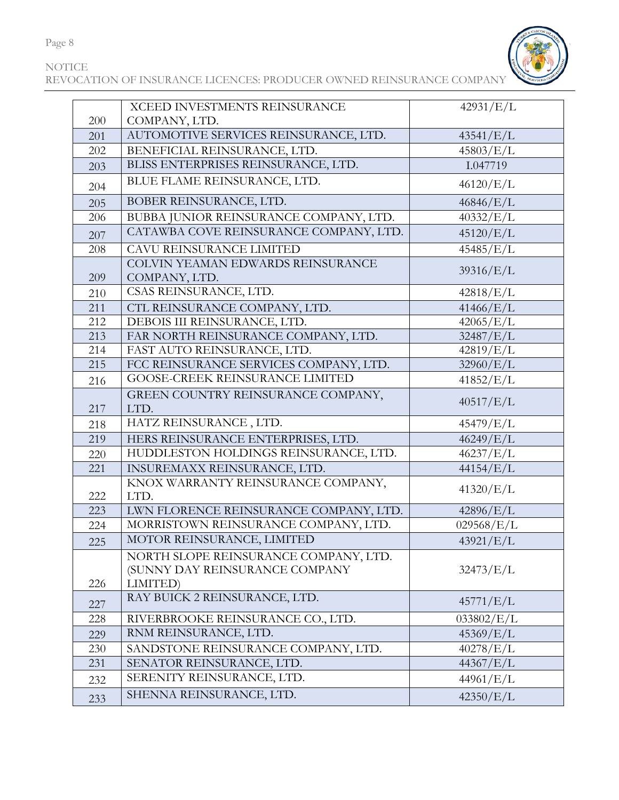